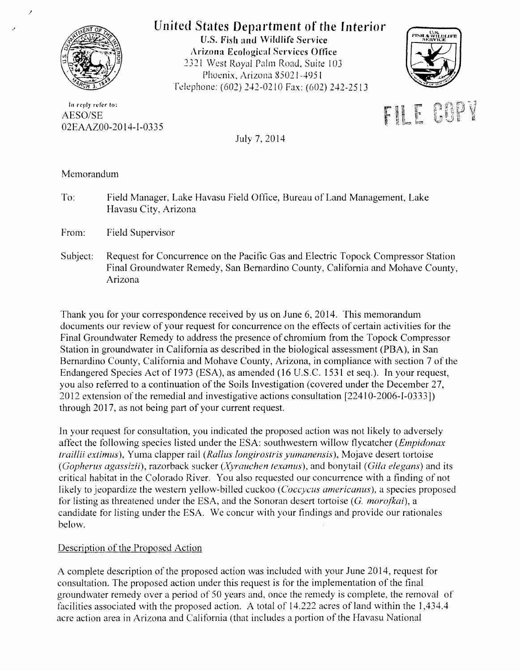

/

# United States Department of the Interior

U.S. Fish and Wildlife Service Arizona Ecological Services Office 2321 West Royal Palm Road, Suite 103 Phoenix, Arizona 85021-4951 Telephone: (602) 242-0210 Fax: (602) 242-2513



In reply refer to: AESO/SE 02EAAZ00-20 14-I-0335



July 7, 2014

Memorandum

To: Field Manager, Lake Havasu Field Office, Bureau of Land Management, Lake Havasu City, Arizona

From: Field Supervisor

Subject: Request for Concurrence on the Pacific Gas and Electric Topock Compressor Station Final Groundwater Remedy, San Bernardino County, California and Mohave County, Arizona

Thank you for your correspondence received by us on June 6, 2014. This memorandum documents our review of your request for concurrence on the efiects of certain activities for the Final Groundwater Remedy to address the presence of chromium from the Topock Compressor Station in groundwater in California as described in the biological assessment (PBA), in San Bernardino County, California and Mohave County, Arizona, in compliance with section 7 of the Endangered Species Act of 1973 (ESA), as amended (16 U.S.C. 1531 et seq.). In your request, you also referred to a continuation of the Soils Investigation (covered under the December 27, 2012 extension of the remedial and investigative actions consultation [22410-2006-I-0333]) through 2017, as not being part of your current request.

In your request for consultation, you indicated the proposed action was not likely to adversely affect the following species listed under the ESA: southwestern willow flycatcher *(Empidonax traillii extimus),* Yuma clapper rail *(Rallus longirostris yumanensis),* Mojave desert tortoise *(Gopherus agassizii),* razorback sucker *(Xyrauchen texanus).* and bonytail *(Gila elegans)* and its critical habitat in the Colorado River. You also requested our concurrence with a finding of not likely to jeopardize the western yellow-billed cuckoo (*Coccycus americanus*), a species proposed for listing as threatened under the ESA, and the Sonoran desert tortoise (G. *morojkai),* a candidate tor listing under the ESA. We concur with your findings and provide our rationales below.

## Description of the Proposed Action

A complete description of the proposed action was included with your June 2014, request for consultation. The proposed action under this request is tor the implementation of the final groundwater remedy over a period of 50 years and, once the remedy is complete, the removal of facilities associated with the proposed action. A total of 14.222 acres of land within the I ,434.4 acre action area in Arizona and California (that includes a portion of the Havasu National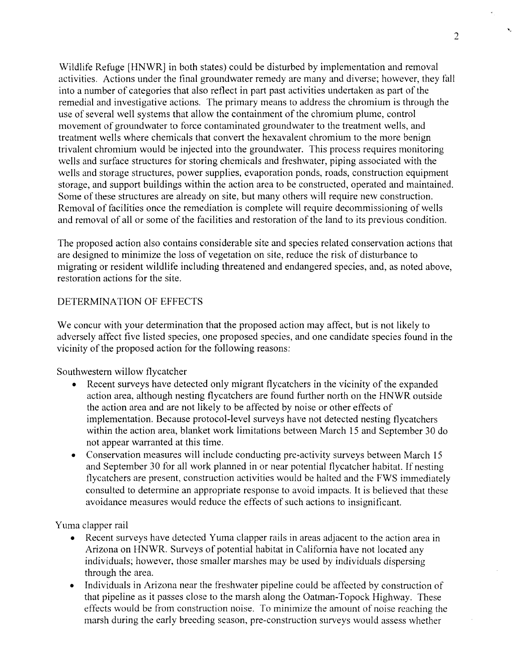Wildlife Refuge [HNWR] in both states) could be disturbed by implementation and removal activities. Actions under the final groundwater remedy are many and diverse; however, they fall into a number of categories that also reflect in part past activities undertaken as part of the remedial and investigative actions. The primary means to address the chromium is through the use of several well systems that allow the containment of the chromium plume, control movement of groundwater to force contaminated groundwater to the treatment wells, and treatment wells where chemicals that convert the hexavalent chromium to the more benign trivalent chromium would be injected into the groundwater. This process requires monitoring wells and surface structures for storing chemicals and freshwater, piping associated with the wells and storage structures, power supplies, evaporation ponds, roads, construction equipment storage, and support buildings within the action area to be constructed, operated and maintained. Some of these structures are already on site, but many others will require new construction. Removal of facilities once the remediation is complete will require decommissioning of wells and removal of all or some of the facilities and restoration of the land to its previous condition.

The proposed action also contains considerable site and species related conservation actions that are designed to minimize the loss of vegetation on site, reduce the risk of disturbance to migrating or resident wildlife including threatened and endangered species, and, as noted above, restoration actions for the site.

## DETERMINATION OF EFFECTS

We concur with your determination that the proposed action may affect, but is not likely to adversely affect five listed species, one proposed species, and one candidate species found in the vicinity of the proposed action for the following reasons:

Southwestern willow flycatcher

- Recent surveys have detected only migrant flycatchers in the vicinity of the expanded action area, although nesting flycatchers are found further north on the HNWR outside the action area and are not likely to be affected by noise or other effects of implementation. Because protocol-level surveys have not detected nesting flycatchers within the action area, blanket work limitations between March 15 and September 30 do not appear warranted at this time.
- Conservation measures will include conducting pre-activity surveys between March 15 and September 30 for all work planned in or near potential flycatcher habitat. If nesting tlycatchers are present, construction activities would be halted and the FWS immediately consulted to determine an appropriate response to avoid impacts. It is believed that these avoidance measures would reduce the effects of such actions to insignificant.

Yuma clapper rail

- Recent surveys have detected Yuma clapper rails in areas adjacent to the action area in Arizona on HNWR. Surveys of potential habitat in California have not located any individuals; however, those smaller marshes may be used by individuals dispersing through the area.
- Individuals in Arizona near the freshwater pipeline could be affected by construction of that pipeline as it passes close to the marsh along the Oatman-Topock Highway. These effects would be from construction noise. To minimize the amount of noise reaching the marsh during the early breeding season, pre-construction surveys would assess whether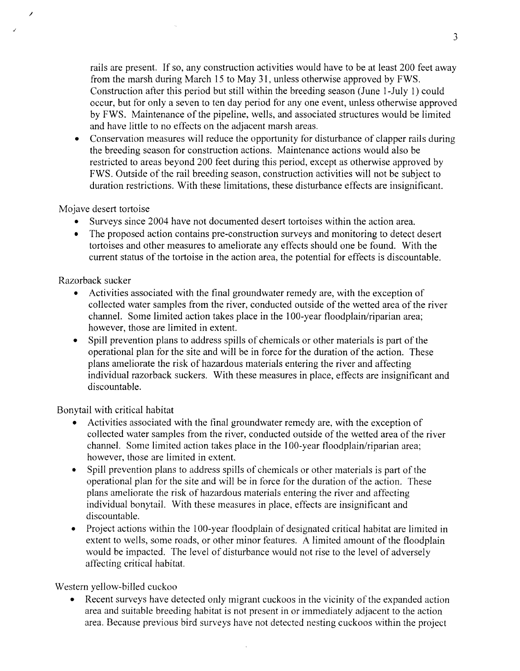rails are present. If so, any construction activities would have to be at least 200 feet away from the marsh during March 15 to May 31, unless otherwise approved by FWS. Construction after this period but still within the breeding season (June 1-July 1) could occur, but for only a seven to ten day period for any one event, unless otherwise approved by FWS. Maintenance of the pipeline, wells, and associated structures would be limited and have little to no effects on the adjacent marsh areas.

• Conservation measures will reduce the opportunity for disturbance of clapper rails during the breeding season for construction actions. Maintenance actions would also be restricted to areas beyond 200 feet during this period, except as otherwise approved by FWS. Outside of the rail breeding season, construction activities will not be subject to duration restrictions. With these limitations, these disturbance effects are insignificant.

### Mojave desert tortoise

/

- Surveys since 2004 have not documented desert tortoises within the action area.
- The proposed action contains pre-construction surveys and monitoring to detect desert tortoises and other measures to ameliorate any effects should one be found. With the current status of the tortoise in the action area, the potential for effects is discountable.

#### Razorback sucker

- Activities associated with the final groundwater remedy are, with the exception of collected water samples from the river, conducted outside of the wetted area of the river channel. Some limited action takes place in the 100-year floodplain/riparian area; however, those are limited in extent.
- Spill prevention plans to address spills of chemicals or other materials is part of the operational plan for the site and will be in force for the duration of the action. These plans ameliorate the risk of hazardous materials entering the river and affecting individual razorback suckers. With these measures in place, effects are insignificant and discountable.

Bonytail with critical habitat

- Activities associated with the final groundwater remedy are, with the exception of collected water samples from the river, conducted outside of the wetted area of the river channel. Some limited action takes place in the 1 00-year floodplain/riparian area; however, those are limited in extent.
- Spill prevention plans to address spills of chemicals or other materials is part of the operational plan for the site and will be in force for the duration of the action. These plans ameliorate the risk of hazardous materials entering the river and affecting individual bonytail. With these measures in place, effects are insignificant and discountable.
- Project actions within the 100-year floodplain of designated critical habitat are limited in extent to wells, some roads, or other minor features. A limited amount of the floodplain would be impacted. The level of disturbance would not rise to the level of adversely affecting critical habitat.

## Western yellow-billed cuckoo

Recent surveys have detected only migrant cuckoos in the vicinity of the expanded action area and suitable breeding habitat is not present in or immediately adjacent to the action area. Because previous bird surveys have not detected nesting cuckoos within the project